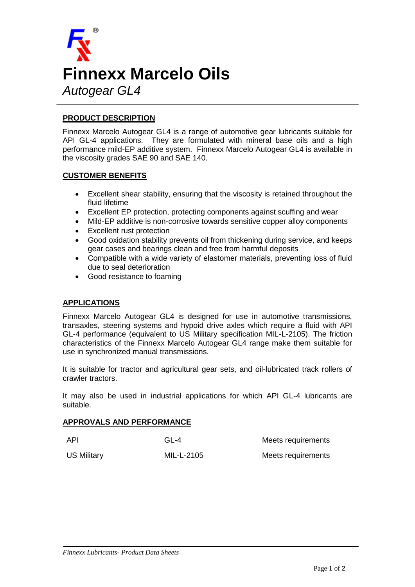

## **PRODUCT DESCRIPTION**

Finnexx Marcelo Autogear GL4 is a range of automotive gear lubricants suitable for API GL-4 applications. They are formulated with mineral base oils and a high performance mild-EP additive system. Finnexx Marcelo Autogear GL4 is available in the viscosity grades SAE 90 and SAE 140.

### **CUSTOMER BENEFITS**

- Excellent shear stability, ensuring that the viscosity is retained throughout the fluid lifetime
- Excellent EP protection, protecting components against scuffing and wear
- Mild-EP additive is non-corrosive towards sensitive copper alloy components
- Excellent rust protection
- Good oxidation stability prevents oil from thickening during service, and keeps gear cases and bearings clean and free from harmful deposits
- Compatible with a wide variety of elastomer materials, preventing loss of fluid due to seal deterioration
- Good resistance to foaming

#### **APPLICATIONS**

Finnexx Marcelo Autogear GL4 is designed for use in automotive transmissions, transaxles, steering systems and hypoid drive axles which require a fluid with API GL-4 performance (equivalent to US Military specification MIL-L-2105). The friction characteristics of the Finnexx Marcelo Autogear GL4 range make them suitable for use in synchronized manual transmissions.

It is suitable for tractor and agricultural gear sets, and oil-lubricated track rollers of crawler tractors.

It may also be used in industrial applications for which API GL-4 lubricants are suitable.

#### **APPROVALS AND PERFORMANCE**

| API                | $GL-4$     | Meets requirements |
|--------------------|------------|--------------------|
| <b>US Military</b> | MIL-L-2105 | Meets requirements |